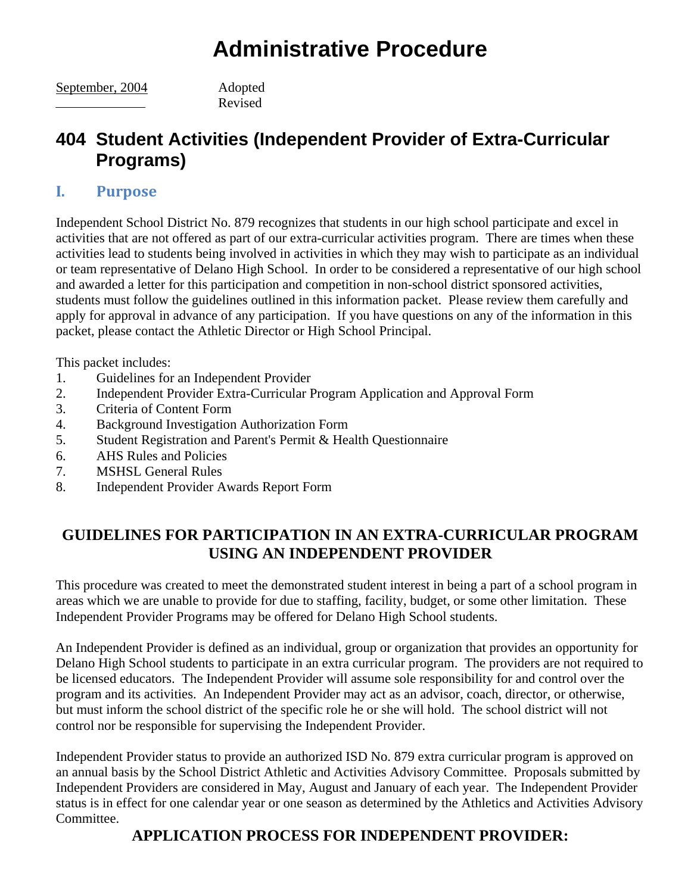# **Administrative Procedure**

September, 2004 Adopted

Revised

## **404 Student Activities (Independent Provider of Extra-Curricular Programs)**

#### **I. Purpose**

Independent School District No. 879 recognizes that students in our high school participate and excel in activities that are not offered as part of our extra-curricular activities program. There are times when these activities lead to students being involved in activities in which they may wish to participate as an individual or team representative of Delano High School. In order to be considered a representative of our high school and awarded a letter for this participation and competition in non-school district sponsored activities, students must follow the guidelines outlined in this information packet. Please review them carefully and apply for approval in advance of any participation. If you have questions on any of the information in this packet, please contact the Athletic Director or High School Principal.

This packet includes:

- 1. Guidelines for an Independent Provider
- 2. Independent Provider Extra-Curricular Program Application and Approval Form
- 3. Criteria of Content Form
- 4. Background Investigation Authorization Form
- 5. Student Registration and Parent's Permit & Health Questionnaire
- 6. AHS Rules and Policies
- 7. MSHSL General Rules
- 8. Independent Provider Awards Report Form

### **GUIDELINES FOR PARTICIPATION IN AN EXTRA-CURRICULAR PROGRAM USING AN INDEPENDENT PROVIDER**

This procedure was created to meet the demonstrated student interest in being a part of a school program in areas which we are unable to provide for due to staffing, facility, budget, or some other limitation. These Independent Provider Programs may be offered for Delano High School students.

An Independent Provider is defined as an individual, group or organization that provides an opportunity for Delano High School students to participate in an extra curricular program. The providers are not required to be licensed educators. The Independent Provider will assume sole responsibility for and control over the program and its activities. An Independent Provider may act as an advisor, coach, director, or otherwise, but must inform the school district of the specific role he or she will hold. The school district will not control nor be responsible for supervising the Independent Provider.

Independent Provider status to provide an authorized ISD No. 879 extra curricular program is approved on an annual basis by the School District Athletic and Activities Advisory Committee. Proposals submitted by Independent Providers are considered in May, August and January of each year. The Independent Provider status is in effect for one calendar year or one season as determined by the Athletics and Activities Advisory Committee.

### **APPLICATION PROCESS FOR INDEPENDENT PROVIDER:**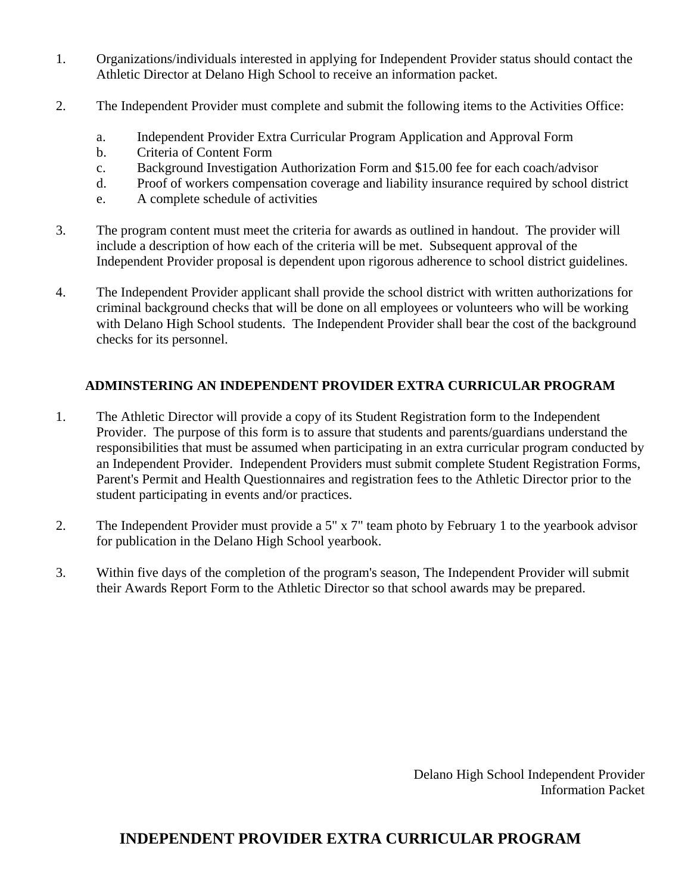- 1. Organizations/individuals interested in applying for Independent Provider status should contact the Athletic Director at Delano High School to receive an information packet.
- 2. The Independent Provider must complete and submit the following items to the Activities Office:
	- a. Independent Provider Extra Curricular Program Application and Approval Form
	- b. Criteria of Content Form
	- c. Background Investigation Authorization Form and \$15.00 fee for each coach/advisor
	- d. Proof of workers compensation coverage and liability insurance required by school district
	- e. A complete schedule of activities
- 3. The program content must meet the criteria for awards as outlined in handout. The provider will include a description of how each of the criteria will be met. Subsequent approval of the Independent Provider proposal is dependent upon rigorous adherence to school district guidelines.
- 4. The Independent Provider applicant shall provide the school district with written authorizations for criminal background checks that will be done on all employees or volunteers who will be working with Delano High School students. The Independent Provider shall bear the cost of the background checks for its personnel.

#### **ADMINSTERING AN INDEPENDENT PROVIDER EXTRA CURRICULAR PROGRAM**

- 1. The Athletic Director will provide a copy of its Student Registration form to the Independent Provider. The purpose of this form is to assure that students and parents/guardians understand the responsibilities that must be assumed when participating in an extra curricular program conducted by an Independent Provider. Independent Providers must submit complete Student Registration Forms, Parent's Permit and Health Questionnaires and registration fees to the Athletic Director prior to the student participating in events and/or practices.
- 2. The Independent Provider must provide a 5" x 7" team photo by February 1 to the yearbook advisor for publication in the Delano High School yearbook.
- 3. Within five days of the completion of the program's season, The Independent Provider will submit their Awards Report Form to the Athletic Director so that school awards may be prepared.

 Delano High School Independent Provider Information Packet

#### **INDEPENDENT PROVIDER EXTRA CURRICULAR PROGRAM**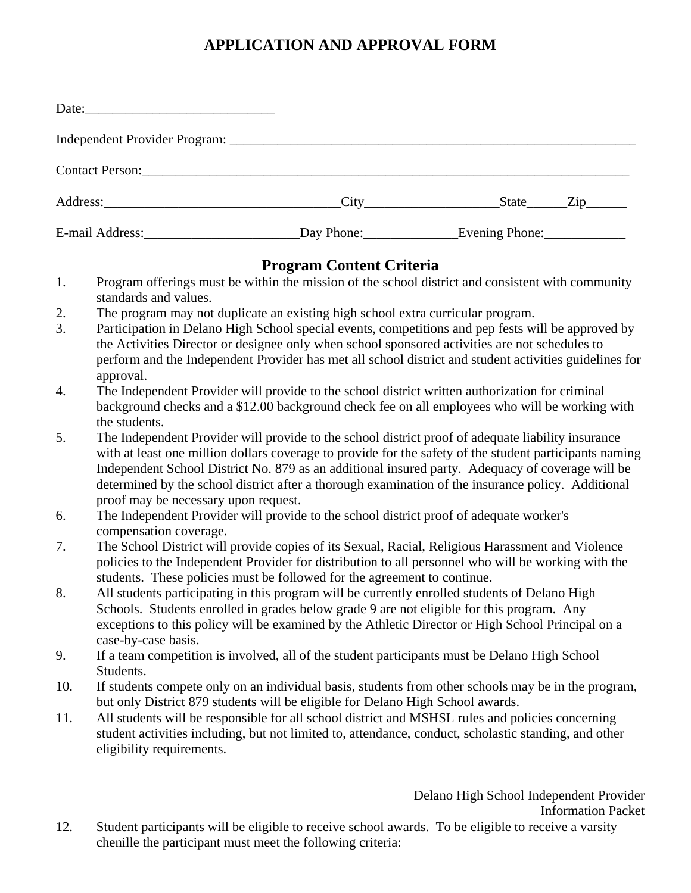## **APPLICATION AND APPROVAL FORM**

| Date: |                                                                                                           |
|-------|-----------------------------------------------------------------------------------------------------------|
|       |                                                                                                           |
|       |                                                                                                           |
|       | Address: <u>City State</u> Zip                                                                            |
|       | E-mail Address:______________________________Day Phone:____________________Evening Phone:________________ |

#### **Program Content Criteria**

- 1. Program offerings must be within the mission of the school district and consistent with community standards and values.
- 2. The program may not duplicate an existing high school extra curricular program.
- 3. Participation in Delano High School special events, competitions and pep fests will be approved by the Activities Director or designee only when school sponsored activities are not schedules to perform and the Independent Provider has met all school district and student activities guidelines for approval.
- 4. The Independent Provider will provide to the school district written authorization for criminal background checks and a \$12.00 background check fee on all employees who will be working with the students.
- 5. The Independent Provider will provide to the school district proof of adequate liability insurance with at least one million dollars coverage to provide for the safety of the student participants naming Independent School District No. 879 as an additional insured party. Adequacy of coverage will be determined by the school district after a thorough examination of the insurance policy. Additional proof may be necessary upon request.
- 6. The Independent Provider will provide to the school district proof of adequate worker's compensation coverage.
- 7. The School District will provide copies of its Sexual, Racial, Religious Harassment and Violence policies to the Independent Provider for distribution to all personnel who will be working with the students. These policies must be followed for the agreement to continue.
- 8. All students participating in this program will be currently enrolled students of Delano High Schools. Students enrolled in grades below grade 9 are not eligible for this program. Any exceptions to this policy will be examined by the Athletic Director or High School Principal on a case-by-case basis.
- 9. If a team competition is involved, all of the student participants must be Delano High School Students.
- 10. If students compete only on an individual basis, students from other schools may be in the program, but only District 879 students will be eligible for Delano High School awards.
- 11. All students will be responsible for all school district and MSHSL rules and policies concerning student activities including, but not limited to, attendance, conduct, scholastic standing, and other eligibility requirements.

Delano High School Independent Provider Information Packet

12. Student participants will be eligible to receive school awards. To be eligible to receive a varsity chenille the participant must meet the following criteria: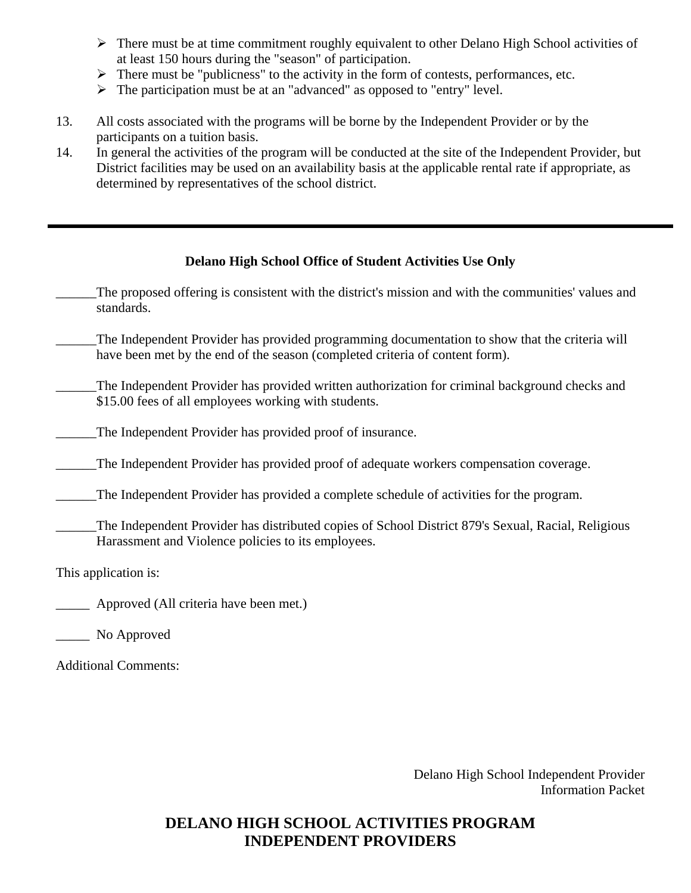- $\triangleright$  There must be at time commitment roughly equivalent to other Delano High School activities of at least 150 hours during the "season" of participation.
- $\triangleright$  There must be "publicness" to the activity in the form of contests, performances, etc.
- ¾ The participation must be at an "advanced" as opposed to "entry" level.
- 13. All costs associated with the programs will be borne by the Independent Provider or by the participants on a tuition basis.
- 14. In general the activities of the program will be conducted at the site of the Independent Provider, but District facilities may be used on an availability basis at the applicable rental rate if appropriate, as determined by representatives of the school district.

#### **Delano High School Office of Student Activities Use Only**

- The proposed offering is consistent with the district's mission and with the communities' values and standards.
- The Independent Provider has provided programming documentation to show that the criteria will have been met by the end of the season (completed criteria of content form).
- \_\_\_\_\_\_The Independent Provider has provided written authorization for criminal background checks and \$15.00 fees of all employees working with students.
- \_\_\_\_\_\_The Independent Provider has provided proof of insurance.
- \_\_\_\_\_\_The Independent Provider has provided proof of adequate workers compensation coverage.
- \_\_\_\_\_\_The Independent Provider has provided a complete schedule of activities for the program.
- \_\_\_\_\_\_The Independent Provider has distributed copies of School District 879's Sexual, Racial, Religious Harassment and Violence policies to its employees.

This application is:

- Approved (All criteria have been met.)
- \_\_\_\_\_ No Approved

Additional Comments:

 Delano High School Independent Provider Information Packet

## **DELANO HIGH SCHOOL ACTIVITIES PROGRAM INDEPENDENT PROVIDERS**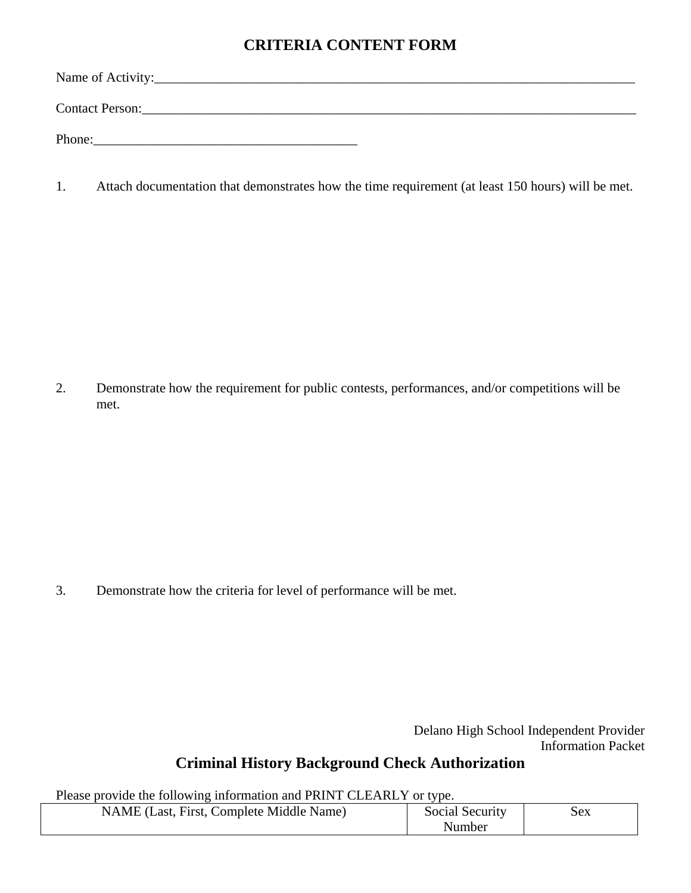### **CRITERIA CONTENT FORM**

Name of Activity:\_\_\_\_\_\_\_\_\_\_\_\_\_\_\_\_\_\_\_\_\_\_\_\_\_\_\_\_\_\_\_\_\_\_\_\_\_\_\_\_\_\_\_\_\_\_\_\_\_\_\_\_\_\_\_\_\_\_\_\_\_\_\_\_\_\_\_\_\_\_\_ Contact Person: Phone:\_\_\_\_\_\_\_\_\_\_\_\_\_\_\_\_\_\_\_\_\_\_\_\_\_\_\_\_\_\_\_\_\_\_\_\_\_\_\_

1. Attach documentation that demonstrates how the time requirement (at least 150 hours) will be met.

2. Demonstrate how the requirement for public contests, performances, and/or competitions will be met.

3. Demonstrate how the criteria for level of performance will be met.

 Delano High School Independent Provider Information Packet

#### **Criminal History Background Check Authorization**

Please provide the following information and PRINT CLEARLY or type.

| NAME (Last, First, Complete Middle Name) | Social Security | sex |
|------------------------------------------|-----------------|-----|
|                                          | Number          |     |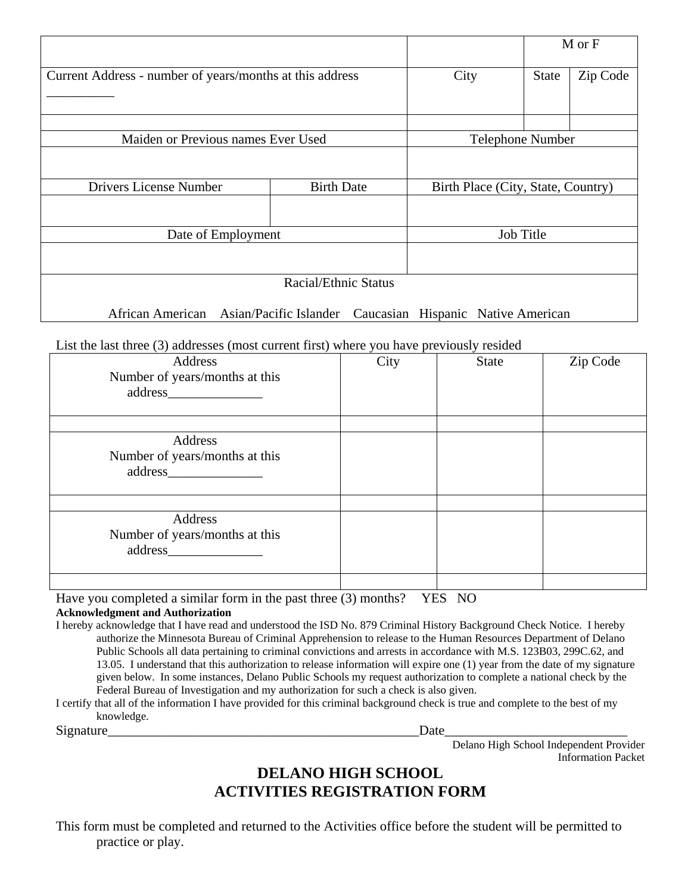|                                                                            |                      |  |                                    |  |              | M or F   |
|----------------------------------------------------------------------------|----------------------|--|------------------------------------|--|--------------|----------|
| Current Address - number of years/months at this address                   |                      |  | City                               |  | <b>State</b> | Zip Code |
|                                                                            |                      |  |                                    |  |              |          |
| Maiden or Previous names Ever Used                                         |                      |  | <b>Telephone Number</b>            |  |              |          |
|                                                                            |                      |  |                                    |  |              |          |
| <b>Drivers License Number</b>                                              | <b>Birth Date</b>    |  | Birth Place (City, State, Country) |  |              |          |
|                                                                            |                      |  |                                    |  |              |          |
| Date of Employment                                                         |                      |  | <b>Job Title</b>                   |  |              |          |
|                                                                            |                      |  |                                    |  |              |          |
|                                                                            | Racial/Ethnic Status |  |                                    |  |              |          |
| African American Asian/Pacific Islander Caucasian Hispanic Native American |                      |  |                                    |  |              |          |

#### List the last three (3) addresses (most current first) where you have previously resided

| Address<br>Number of years/months at this | City | State | Zip Code |
|-------------------------------------------|------|-------|----------|
| Address<br>Number of years/months at this |      |       |          |
| Address<br>Number of years/months at this |      |       |          |

Have you completed a similar form in the past three (3) months? YES NO

**Acknowledgment and Authorization** 

I hereby acknowledge that I have read and understood the ISD No. 879 Criminal History Background Check Notice. I hereby authorize the Minnesota Bureau of Criminal Apprehension to release to the Human Resources Department of Delano Public Schools all data pertaining to criminal convictions and arrests in accordance with M.S. 123B03, 299C.62, and 13.05. I understand that this authorization to release information will expire one (1) year from the date of my signature given below. In some instances, Delano Public Schools my request authorization to complete a national check by the Federal Bureau of Investigation and my authorization for such a check is also given.

I certify that all of the information I have provided for this criminal background check is true and complete to the best of my knowledge.

Signature\_\_\_\_\_\_\_\_\_\_\_\_\_\_\_\_\_\_\_\_\_\_\_\_\_\_\_\_\_\_\_\_\_\_\_\_\_\_\_\_\_\_\_\_\_\_Date\_\_\_\_\_\_\_\_\_\_\_\_\_\_\_\_\_\_\_\_\_\_\_\_\_\_\_

Delano High School Independent Provider Information Packet

#### **DELANO HIGH SCHOOL ACTIVITIES REGISTRATION FORM**

This form must be completed and returned to the Activities office before the student will be permitted to practice or play.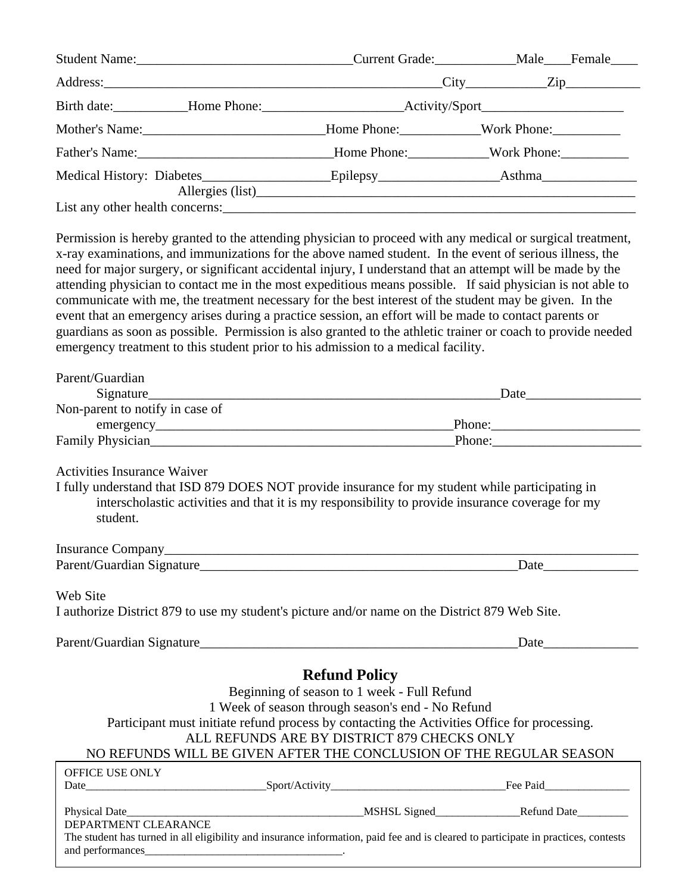| Mother's Name: More Phone: More Phone: Mork Phone: Mork Phone: |  |  |  |
|----------------------------------------------------------------|--|--|--|
|                                                                |  |  |  |
|                                                                |  |  |  |
|                                                                |  |  |  |
|                                                                |  |  |  |

Permission is hereby granted to the attending physician to proceed with any medical or surgical treatment, x-ray examinations, and immunizations for the above named student. In the event of serious illness, the need for major surgery, or significant accidental injury, I understand that an attempt will be made by the attending physician to contact me in the most expeditious means possible. If said physician is not able to communicate with me, the treatment necessary for the best interest of the student may be given. In the event that an emergency arises during a practice session, an effort will be made to contact parents or guardians as soon as possible. Permission is also granted to the athletic trainer or coach to provide needed emergency treatment to this student prior to his admission to a medical facility.

| Parent/Guardian                                                                              |                                                                                                                                                                                                      |                                                                                                                                    |  |
|----------------------------------------------------------------------------------------------|------------------------------------------------------------------------------------------------------------------------------------------------------------------------------------------------------|------------------------------------------------------------------------------------------------------------------------------------|--|
|                                                                                              |                                                                                                                                                                                                      | Date                                                                                                                               |  |
| Non-parent to notify in case of                                                              |                                                                                                                                                                                                      |                                                                                                                                    |  |
|                                                                                              |                                                                                                                                                                                                      |                                                                                                                                    |  |
|                                                                                              | Family Physician<br>Family Physician                                                                                                                                                                 |                                                                                                                                    |  |
|                                                                                              |                                                                                                                                                                                                      |                                                                                                                                    |  |
| <b>Activities Insurance Waiver</b>                                                           |                                                                                                                                                                                                      |                                                                                                                                    |  |
| student.                                                                                     | I fully understand that ISD 879 DOES NOT provide insurance for my student while participating in<br>interscholastic activities and that it is my responsibility to provide insurance coverage for my |                                                                                                                                    |  |
|                                                                                              |                                                                                                                                                                                                      |                                                                                                                                    |  |
|                                                                                              |                                                                                                                                                                                                      |                                                                                                                                    |  |
|                                                                                              |                                                                                                                                                                                                      |                                                                                                                                    |  |
| Web Site                                                                                     |                                                                                                                                                                                                      |                                                                                                                                    |  |
|                                                                                              | I authorize District 879 to use my student's picture and/or name on the District 879 Web Site.                                                                                                       |                                                                                                                                    |  |
|                                                                                              |                                                                                                                                                                                                      |                                                                                                                                    |  |
|                                                                                              | <b>Refund Policy</b>                                                                                                                                                                                 |                                                                                                                                    |  |
|                                                                                              | Beginning of season to 1 week - Full Refund                                                                                                                                                          |                                                                                                                                    |  |
|                                                                                              | 1 Week of season through season's end - No Refund                                                                                                                                                    |                                                                                                                                    |  |
| Participant must initiate refund process by contacting the Activities Office for processing. |                                                                                                                                                                                                      |                                                                                                                                    |  |
|                                                                                              | ALL REFUNDS ARE BY DISTRICT 879 CHECKS ONLY                                                                                                                                                          |                                                                                                                                    |  |
|                                                                                              |                                                                                                                                                                                                      | NO REFUNDS WILL BE GIVEN AFTER THE CONCLUSION OF THE REGULAR SEASON                                                                |  |
| OFFICE USE ONLY                                                                              |                                                                                                                                                                                                      |                                                                                                                                    |  |
|                                                                                              |                                                                                                                                                                                                      |                                                                                                                                    |  |
|                                                                                              |                                                                                                                                                                                                      |                                                                                                                                    |  |
|                                                                                              |                                                                                                                                                                                                      |                                                                                                                                    |  |
| DEPARTMENT CLEARANCE                                                                         |                                                                                                                                                                                                      |                                                                                                                                    |  |
|                                                                                              |                                                                                                                                                                                                      | The student has turned in all eligibility and insurance information, paid fee and is cleared to participate in practices, contests |  |
|                                                                                              |                                                                                                                                                                                                      |                                                                                                                                    |  |